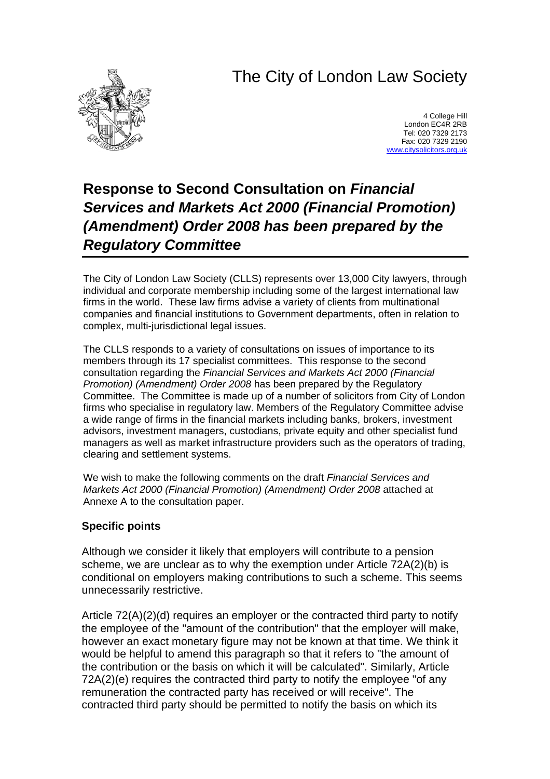# The City of London Law Society



4 College Hill London EC4R 2RB Tel: 020 7329 2173 Fax: 020 7329 2190 [www.citysolicitors.org.uk](http://www.citysolicitors.org.uk/)

## **Response to Second Consultation on** *Financial Services and Markets Act 2000 (Financial Promotion) (Amendment) Order 2008 has been prepared by the Regulatory Committee*

The City of London Law Society (CLLS) represents over 13,000 City lawyers, through individual and corporate membership including some of the largest international law firms in the world. These law firms advise a variety of clients from multinational companies and financial institutions to Government departments, often in relation to complex, multi-jurisdictional legal issues.

The CLLS responds to a variety of consultations on issues of importance to its members through its 17 specialist committees. This response to the second consultation regarding the *Financial Services and Markets Act 2000 (Financial Promotion) (Amendment) Order 2008* has been prepared by the Regulatory Committee. The Committee is made up of a number of solicitors from City of London firms who specialise in regulatory law. Members of the Regulatory Committee advise a wide range of firms in the financial markets including banks, brokers, investment advisors, investment managers, custodians, private equity and other specialist fund managers as well as market infrastructure providers such as the operators of trading, clearing and settlement systems.

We wish to make the following comments on the draft *Financial Services and Markets Act 2000 (Financial Promotion) (Amendment) Order 2008* attached at Annexe A to the consultation paper.

### **Specific points**

Although we consider it likely that employers will contribute to a pension scheme, we are unclear as to why the exemption under Article 72A(2)(b) is conditional on employers making contributions to such a scheme. This seems unnecessarily restrictive.

Article 72(A)(2)(d) requires an employer or the contracted third party to notify the employee of the "amount of the contribution" that the employer will make, however an exact monetary figure may not be known at that time. We think it would be helpful to amend this paragraph so that it refers to "the amount of the contribution or the basis on which it will be calculated". Similarly, Article 72A(2)(e) requires the contracted third party to notify the employee "of any remuneration the contracted party has received or will receive". The contracted third party should be permitted to notify the basis on which its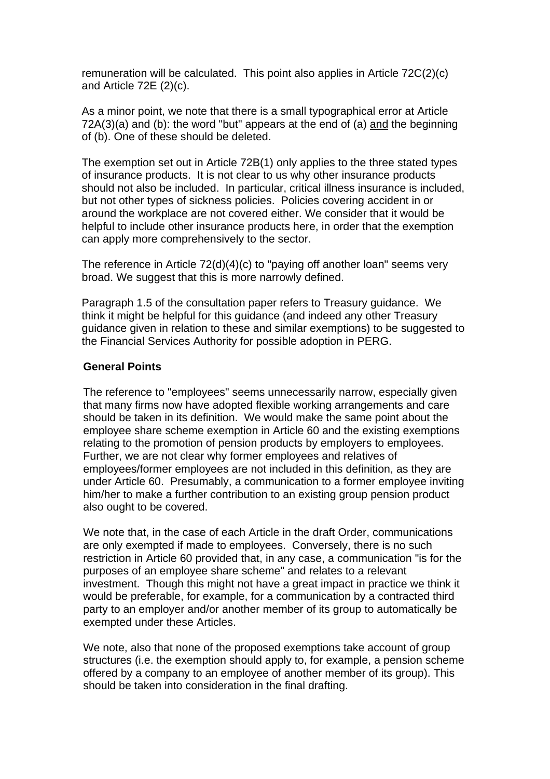remuneration will be calculated. This point also applies in Article 72C(2)(c) and Article 72E (2)(c).

As a minor point, we note that there is a small typographical error at Article 72A(3)(a) and (b): the word "but" appears at the end of (a) and the beginning of (b). One of these should be deleted.

The exemption set out in Article 72B(1) only applies to the three stated types of insurance products. It is not clear to us why other insurance products should not also be included. In particular, critical illness insurance is included, but not other types of sickness policies. Policies covering accident in or around the workplace are not covered either. We consider that it would be helpful to include other insurance products here, in order that the exemption can apply more comprehensively to the sector.

The reference in Article 72(d)(4)(c) to "paying off another loan" seems very broad. We suggest that this is more narrowly defined.

Paragraph 1.5 of the consultation paper refers to Treasury guidance. We think it might be helpful for this guidance (and indeed any other Treasury guidance given in relation to these and similar exemptions) to be suggested to the Financial Services Authority for possible adoption in PERG.

#### **General Points**

The reference to "employees" seems unnecessarily narrow, especially given that many firms now have adopted flexible working arrangements and care should be taken in its definition. We would make the same point about the employee share scheme exemption in Article 60 and the existing exemptions relating to the promotion of pension products by employers to employees. Further, we are not clear why former employees and relatives of employees/former employees are not included in this definition, as they are under Article 60. Presumably, a communication to a former employee inviting him/her to make a further contribution to an existing group pension product also ought to be covered.

We note that, in the case of each Article in the draft Order, communications are only exempted if made to employees. Conversely, there is no such restriction in Article 60 provided that, in any case, a communication "is for the purposes of an employee share scheme" and relates to a relevant investment. Though this might not have a great impact in practice we think it would be preferable, for example, for a communication by a contracted third party to an employer and/or another member of its group to automatically be exempted under these Articles.

We note, also that none of the proposed exemptions take account of group structures (i.e. the exemption should apply to, for example, a pension scheme offered by a company to an employee of another member of its group). This should be taken into consideration in the final drafting.